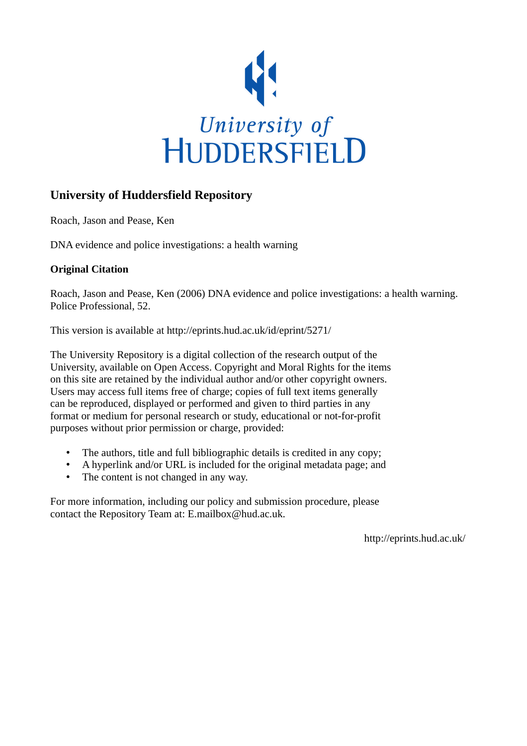

#### **University of Huddersfield Repository**

Roach, Jason and Pease, Ken

DNA evidence and police investigations: a health warning

#### **Original Citation**

Roach, Jason and Pease, Ken (2006) DNA evidence and police investigations: a health warning. Police Professional, 52.

This version is available at http://eprints.hud.ac.uk/id/eprint/5271/

The University Repository is a digital collection of the research output of the University, available on Open Access. Copyright and Moral Rights for the items on this site are retained by the individual author and/or other copyright owners. Users may access full items free of charge; copies of full text items generally can be reproduced, displayed or performed and given to third parties in any format or medium for personal research or study, educational or not-for-profit purposes without prior permission or charge, provided:

- The authors, title and full bibliographic details is credited in any copy;
- A hyperlink and/or URL is included for the original metadata page; and
- The content is not changed in any way.

For more information, including our policy and submission procedure, please contact the Repository Team at: E.mailbox@hud.ac.uk.

http://eprints.hud.ac.uk/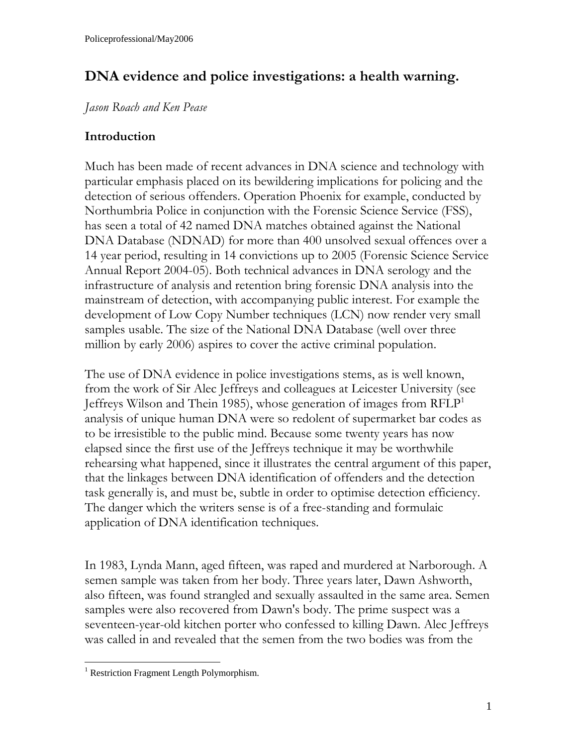# **DNA evidence and police investigations: a health warning.**

*Jason Roach and Ken Pease* 

## **Introduction**

Much has been made of recent advances in DNA science and technology with particular emphasis placed on its bewildering implications for policing and the detection of serious offenders. Operation Phoenix for example, conducted by Northumbria Police in conjunction with the Forensic Science Service (FSS), has seen a total of 42 named DNA matches obtained against the National DNA Database (NDNAD) for more than 400 unsolved sexual offences over a 14 year period, resulting in 14 convictions up to 2005 (Forensic Science Service Annual Report 2004-05). Both technical advances in DNA serology and the infrastructure of analysis and retention bring forensic DNA analysis into the mainstream of detection, with accompanying public interest. For example the development of Low Copy Number techniques (LCN) now render very small samples usable. The size of the National DNA Database (well over three million by early 2006) aspires to cover the active criminal population.

The use of DNA evidence in police investigations stems, as is well known, from the work of Sir Alec Jeffreys and colleagues at Leicester University (see Jeffreys Wilson and Thein [1](#page-1-0)985), whose generation of images from  $RFLP<sup>1</sup>$ analysis of unique human DNA were so redolent of supermarket bar codes as to be irresistible to the public mind. Because some twenty years has now elapsed since the first use of the Jeffreys technique it may be worthwhile rehearsing what happened, since it illustrates the central argument of this paper, that the linkages between DNA identification of offenders and the detection task generally is, and must be, subtle in order to optimise detection efficiency. The danger which the writers sense is of a free-standing and formulaic application of DNA identification techniques.

In 1983, Lynda Mann, aged fifteen, was raped and murdered at Narborough. A semen sample was taken from her body. Three years later, Dawn Ashworth, also fifteen, was found strangled and sexually assaulted in the same area. Semen samples were also recovered from Dawn's body. The prime suspect was a seventeen-year-old kitchen porter who confessed to killing Dawn. Alec Jeffreys was called in and revealed that the semen from the two bodies was from the

<span id="page-1-0"></span> $\overline{a}$ <sup>1</sup> Restriction Fragment Length Polymorphism.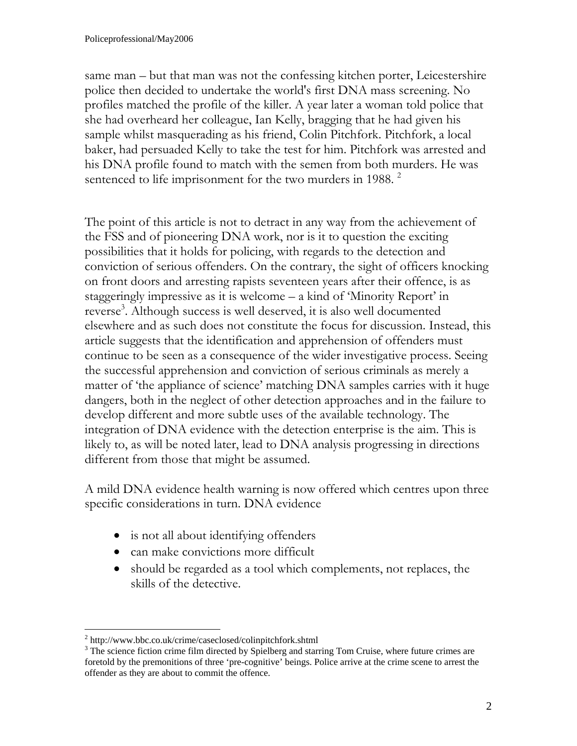same man – but that man was not the confessing kitchen porter, Leicestershire police then decided to undertake the world's first DNA mass screening. No profiles matched the profile of the killer. A year later a woman told police that she had overheard her colleague, Ian Kelly, bragging that he had given his sample whilst masquerading as his friend, Colin Pitchfork. Pitchfork, a local baker, had persuaded Kelly to take the test for him. Pitchfork was arrested and his DNA profile found to match with the semen from both murders. He was sentenced to life imprisonment for the two murders in 1988.<sup>[2](#page-2-0)</sup>

The point of this article is not to detract in any way from the achievement of the FSS and of pioneering DNA work, nor is it to question the exciting possibilities that it holds for policing, with regards to the detection and conviction of serious offenders. On the contrary, the sight of officers knocking on front doors and arresting rapists seventeen years after their offence, is as staggeringly impressive as it is welcome – a kind of 'Minority Report' in reverse<sup>3</sup>. Although success is well deserved, it is also well documented elsewhere and as such does not constitute the focus for discussion. Instead, this article suggests that the identification and apprehension of offenders must continue to be seen as a consequence of the wider investigative process. Seeing the successful apprehension and conviction of serious criminals as merely a matter of 'the appliance of science' matching DNA samples carries with it huge dangers, both in the neglect of other detection approaches and in the failure to develop different and more subtle uses of the available technology. The integration of DNA evidence with the detection enterprise is the aim. This is likely to, as will be noted later, lead to DNA analysis progressing in directions different from those that might be assumed.

A mild DNA evidence health warning is now offered which centres upon three specific considerations in turn. DNA evidence

- is not all about identifying offenders
- can make convictions more difficult
- should be regarded as a tool which complements, not replaces, the skills of the detective.

<span id="page-2-0"></span><sup>&</sup>lt;sup>2</sup> http://www.bbc.co.uk/crime/caseclosed/colinpitchfork.shtml<br><sup>3</sup> The science fiction erime film directed by Spielbers and start

<span id="page-2-1"></span><sup>&</sup>lt;sup>3</sup> The science fiction crime film directed by Spielberg and starring Tom Cruise, where future crimes are foretold by the premonitions of three 'pre-cognitive' beings. Police arrive at the crime scene to arrest the offender as they are about to commit the offence.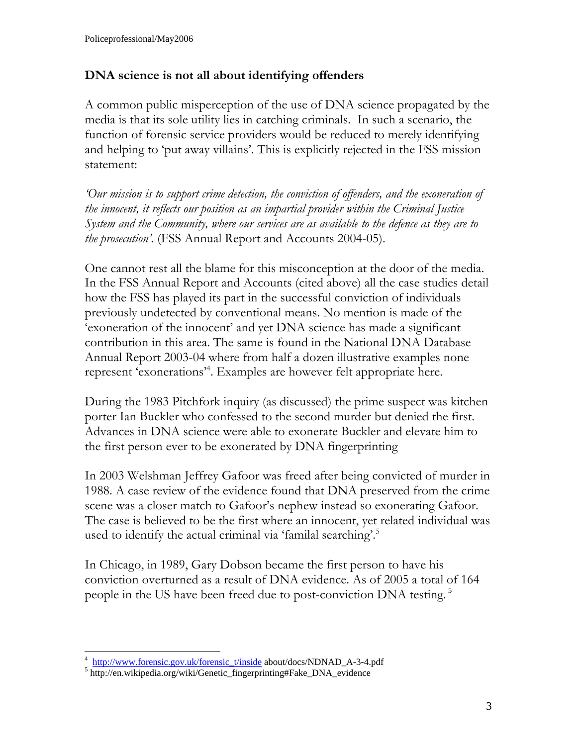### **DNA science is not all about identifying offenders**

A common public misperception of the use of DNA science propagated by the media is that its sole utility lies in catching criminals. In such a scenario, the function of forensic service providers would be reduced to merely identifying and helping to 'put away villains'. This is explicitly rejected in the FSS mission statement:

*'Our mission is to support crime detection, the conviction of offenders, and the exoneration of the innocent, it reflects our position as an impartial provider within the Criminal Justice System and the Community, where our services are as available to the defence as they are to the prosecution'.* (FSS Annual Report and Accounts 2004-05).

One cannot rest all the blame for this misconception at the door of the media. In the FSS Annual Report and Accounts (cited above) all the case studies detail how the FSS has played its part in the successful conviction of individuals previously undetected by conventional means. No mention is made of the 'exoneration of the innocent' and yet DNA science has made a significant contribution in this area. The same is found in the National DNA Database Annual Report 2003-04 where from half a dozen illustrative examples none represent 'exonerations'[4](#page-3-0) . Examples are however felt appropriate here.

During the 1983 Pitchfork inquiry (as discussed) the prime suspect was kitchen porter Ian Buckler who confessed to the second murder but denied the first. Advances in DNA science were able to exonerate Buckler and elevate him to the first person ever to be exonerated by DNA fingerprinting

In 2003 Welshman Jeffrey Gafoor was freed after being convicted of murder in 1988. A case review of the evidence found that DNA preserved from the crime scene was a closer match to Gafoor's nephew instead so exonerating Gafoor. The case is believed to be the first where an innocent, yet related individual was used to identify the actual criminal via 'familal searching'.<sup>[5](#page-3-1)</sup>

In Chicago, in 1989, Gary Dobson became the first person to have his conviction overturned as a result of DNA evidence. As of 2005 a total of 164 people in the US have been freed due to post-conviction DNA testing.<sup>5</sup>

<span id="page-3-0"></span> $\frac{4 \text{ http://www.forensic.gov.uk/forenisc\_t/inside}}{2 \text{ http://www.forensic.gov.uk/forenisc\_t/inside}}$  about/docs/NDNAD\_A-3-4.pdf

<span id="page-3-1"></span><sup>&</sup>lt;sup>5</sup> http://en.wikipedia.org/wiki/Genetic\_fingerprinting#Fake\_DNA\_evidence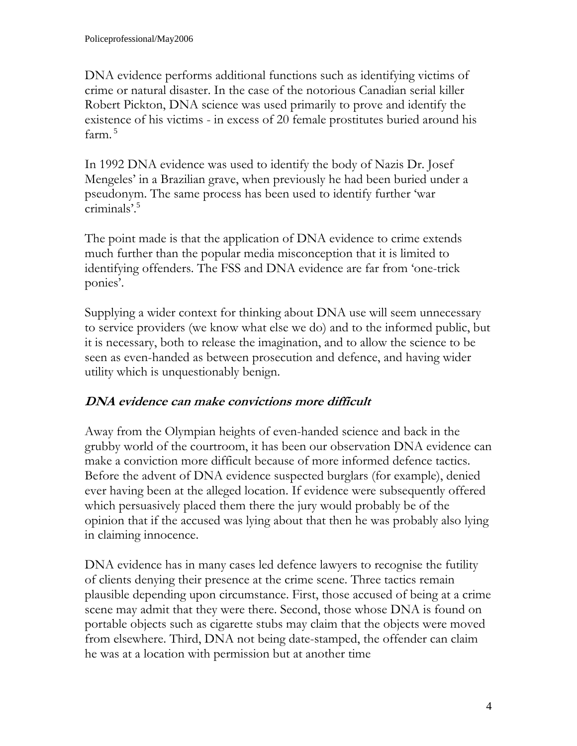DNA evidence performs additional functions such as identifying victims of crime or natural disaster. In the case of the notorious Canadian serial killer Robert Pickton, DNA science was used primarily to prove and identify the existence of his victims - in excess of 20 female prostitutes buried around his farm.<sup>5</sup>

In 1992 DNA evidence was used to identify the body of Nazis Dr. Josef Mengeles' in a Brazilian grave, when previously he had been buried under a pseudonym. The same process has been used to identify further 'war criminals'.<sup>5</sup>

The point made is that the application of DNA evidence to crime extends much further than the popular media misconception that it is limited to identifying offenders. The FSS and DNA evidence are far from 'one-trick ponies'.

Supplying a wider context for thinking about DNA use will seem unnecessary to service providers (we know what else we do) and to the informed public, but it is necessary, both to release the imagination, and to allow the science to be seen as even-handed as between prosecution and defence, and having wider utility which is unquestionably benign.

### **DNA evidence can make convictions more difficult**

Away from the Olympian heights of even-handed science and back in the grubby world of the courtroom, it has been our observation DNA evidence can make a conviction more difficult because of more informed defence tactics. Before the advent of DNA evidence suspected burglars (for example), denied ever having been at the alleged location. If evidence were subsequently offered which persuasively placed them there the jury would probably be of the opinion that if the accused was lying about that then he was probably also lying in claiming innocence.

DNA evidence has in many cases led defence lawyers to recognise the futility of clients denying their presence at the crime scene. Three tactics remain plausible depending upon circumstance. First, those accused of being at a crime scene may admit that they were there. Second, those whose DNA is found on portable objects such as cigarette stubs may claim that the objects were moved from elsewhere. Third, DNA not being date-stamped, the offender can claim he was at a location with permission but at another time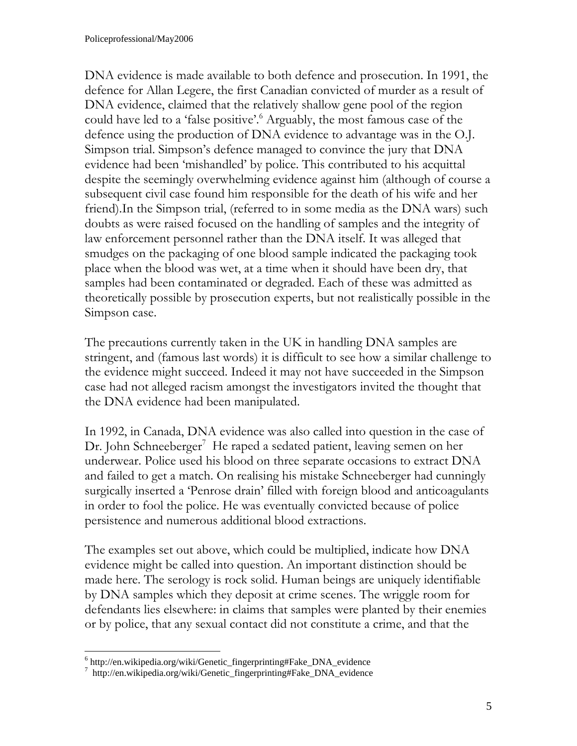DNA evidence is made available to both defence and prosecution. In 1991, the defence for Allan Legere, the first Canadian convicted of murder as a result of DNA evidence, claimed that the relatively shallow gene pool of the region could have led to a 'false positive'.<sup>6</sup> Arguably, the most famous case of the defence using the production of DNA evidence to advantage was in the O.J. Simpson trial. Simpson's defence managed to convince the jury that DNA evidence had been 'mishandled' by police. This contributed to his acquittal despite the seemingly overwhelming evidence against him (although of course a subsequent civil case found him responsible for the death of his wife and her friend).In the Simpson trial, (referred to in some media as the DNA wars) such doubts as were raised focused on the handling of samples and the integrity of law enforcement personnel rather than the DNA itself. It was alleged that smudges on the packaging of one blood sample indicated the packaging took place when the blood was wet, at a time when it should have been dry, that samples had been contaminated or degraded. Each of these was admitted as theoretically possible by prosecution experts, but not realistically possible in the Simpson case.

The precautions currently taken in the UK in handling DNA samples are stringent, and (famous last words) it is difficult to see how a similar challenge to the evidence might succeed. Indeed it may not have succeeded in the Simpson case had not alleged racism amongst the investigators invited the thought that the DNA evidence had been manipulated.

In 1992, in Canada, DNA evidence was also called into question in the case of Dr. John Schneeberger<sup>[7](#page-5-1)</sup> He raped a sedated patient, leaving semen on her underwear. Police used his blood on three separate occasions to extract DNA and failed to get a match. On realising his mistake Schneeberger had cunningly surgically inserted a 'Penrose drain' filled with foreign blood and anticoagulants in order to fool the police. He was eventually convicted because of police persistence and numerous additional blood extractions.

The examples set out above, which could be multiplied, indicate how DNA evidence might be called into question. An important distinction should be made here. The serology is rock solid. Human beings are uniquely identifiable by DNA samples which they deposit at crime scenes. The wriggle room for defendants lies elsewhere: in claims that samples were planted by their enemies or by police, that any sexual contact did not constitute a crime, and that the

 $\overline{a}$ 

<span id="page-5-0"></span><sup>&</sup>lt;sup>6</sup> http://en.wikipedia.org/wiki/Genetic\_fingerprinting#Fake\_DNA\_evidence 7<br><sup>7</sup> http://en.wikipedia.org/wiki/Genetic\_fingerprinting#Fake\_DNA\_evidence

<span id="page-5-1"></span> $\frac{7}{1}$  http://en.wikipedia.org/wiki/Genetic\_fingerprinting#Fake\_DNA\_evidence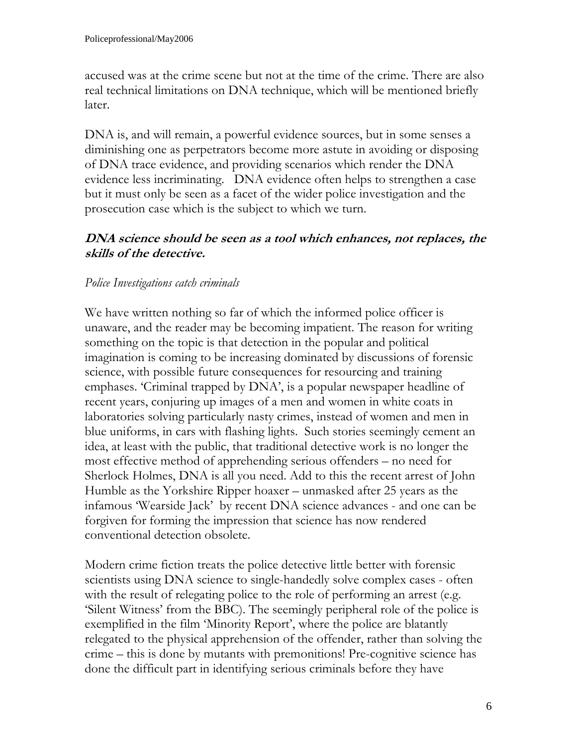accused was at the crime scene but not at the time of the crime. There are also real technical limitations on DNA technique, which will be mentioned briefly later.

DNA is, and will remain, a powerful evidence sources, but in some senses a diminishing one as perpetrators become more astute in avoiding or disposing of DNA trace evidence, and providing scenarios which render the DNA evidence less incriminating. DNA evidence often helps to strengthen a case but it must only be seen as a facet of the wider police investigation and the prosecution case which is the subject to which we turn.

#### **DNA science should be seen as a tool which enhances, not replaces, the skills of the detective.**

#### *Police Investigations catch criminals*

We have written nothing so far of which the informed police officer is unaware, and the reader may be becoming impatient. The reason for writing something on the topic is that detection in the popular and political imagination is coming to be increasing dominated by discussions of forensic science, with possible future consequences for resourcing and training emphases. 'Criminal trapped by DNA', is a popular newspaper headline of recent years, conjuring up images of a men and women in white coats in laboratories solving particularly nasty crimes, instead of women and men in blue uniforms, in cars with flashing lights. Such stories seemingly cement an idea, at least with the public, that traditional detective work is no longer the most effective method of apprehending serious offenders – no need for Sherlock Holmes, DNA is all you need. Add to this the recent arrest of John Humble as the Yorkshire Ripper hoaxer – unmasked after 25 years as the infamous 'Wearside Jack' by recent DNA science advances - and one can be forgiven for forming the impression that science has now rendered conventional detection obsolete.

Modern crime fiction treats the police detective little better with forensic scientists using DNA science to single-handedly solve complex cases - often with the result of relegating police to the role of performing an arrest (e.g. 'Silent Witness' from the BBC). The seemingly peripheral role of the police is exemplified in the film 'Minority Report', where the police are blatantly relegated to the physical apprehension of the offender, rather than solving the crime – this is done by mutants with premonitions! Pre-cognitive science has done the difficult part in identifying serious criminals before they have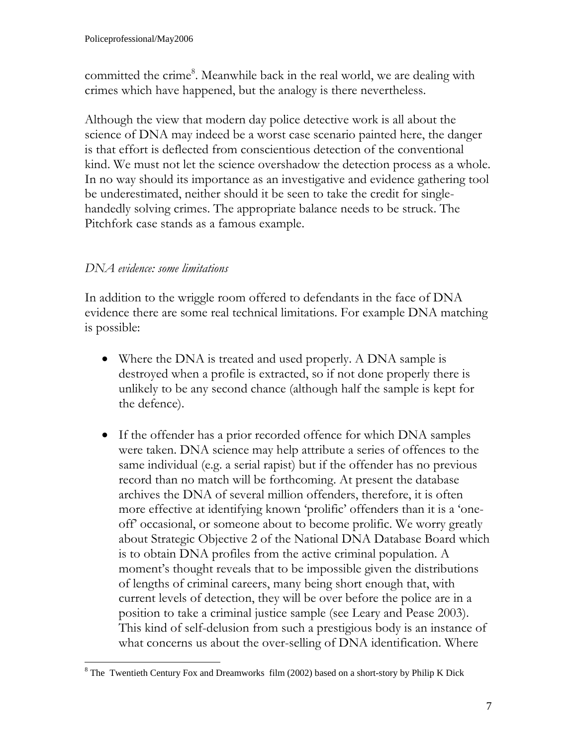committed the crime<sup>8</sup>. Meanwhile back in the real world, we are dealing with crimes which have happened, but the analogy is there nevertheless.

Although the view that modern day police detective work is all about the science of DNA may indeed be a worst case scenario painted here, the danger is that effort is deflected from conscientious detection of the conventional kind. We must not let the science overshadow the detection process as a whole. In no way should its importance as an investigative and evidence gathering tool be underestimated, neither should it be seen to take the credit for singlehandedly solving crimes. The appropriate balance needs to be struck. The Pitchfork case stands as a famous example.

#### *DNA evidence: some limitations*

In addition to the wriggle room offered to defendants in the face of DNA evidence there are some real technical limitations. For example DNA matching is possible:

- Where the DNA is treated and used properly. A DNA sample is destroyed when a profile is extracted, so if not done properly there is unlikely to be any second chance (although half the sample is kept for the defence).
- If the offender has a prior recorded offence for which DNA samples were taken. DNA science may help attribute a series of offences to the same individual (e.g. a serial rapist) but if the offender has no previous record than no match will be forthcoming. At present the database archives the DNA of several million offenders, therefore, it is often more effective at identifying known 'prolific' offenders than it is a 'oneoff' occasional, or someone about to become prolific. We worry greatly about Strategic Objective 2 of the National DNA Database Board which is to obtain DNA profiles from the active criminal population. A moment's thought reveals that to be impossible given the distributions of lengths of criminal careers, many being short enough that, with current levels of detection, they will be over before the police are in a position to take a criminal justice sample (see Leary and Pease 2003). This kind of self-delusion from such a prestigious body is an instance of what concerns us about the over-selling of DNA identification. Where

<span id="page-7-0"></span> $\overline{a}$  $8$  The Twentieth Century Fox and Dreamworks film (2002) based on a short-story by Philip K Dick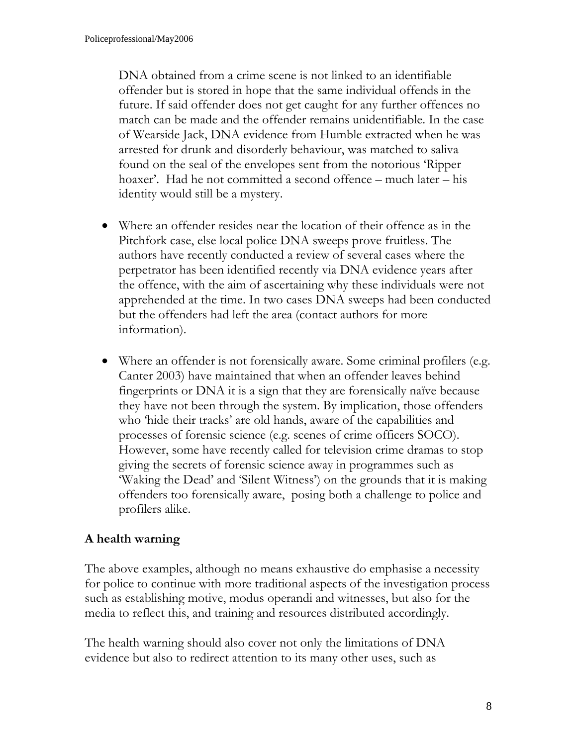DNA obtained from a crime scene is not linked to an identifiable offender but is stored in hope that the same individual offends in the future. If said offender does not get caught for any further offences no match can be made and the offender remains unidentifiable. In the case of Wearside Jack, DNA evidence from Humble extracted when he was arrested for drunk and disorderly behaviour, was matched to saliva found on the seal of the envelopes sent from the notorious 'Ripper hoaxer'. Had he not committed a second offence – much later – his identity would still be a mystery.

- Where an offender resides near the location of their offence as in the Pitchfork case, else local police DNA sweeps prove fruitless. The authors have recently conducted a review of several cases where the perpetrator has been identified recently via DNA evidence years after the offence, with the aim of ascertaining why these individuals were not apprehended at the time. In two cases DNA sweeps had been conducted but the offenders had left the area (contact authors for more information).
- Where an offender is not forensically aware. Some criminal profilers (e.g. Canter 2003) have maintained that when an offender leaves behind fingerprints or DNA it is a sign that they are forensically naïve because they have not been through the system. By implication, those offenders who 'hide their tracks' are old hands, aware of the capabilities and processes of forensic science (e.g. scenes of crime officers SOCO). However, some have recently called for television crime dramas to stop giving the secrets of forensic science away in programmes such as 'Waking the Dead' and 'Silent Witness') on the grounds that it is making offenders too forensically aware, posing both a challenge to police and profilers alike.

## **A health warning**

The above examples, although no means exhaustive do emphasise a necessity for police to continue with more traditional aspects of the investigation process such as establishing motive, modus operandi and witnesses, but also for the media to reflect this, and training and resources distributed accordingly.

The health warning should also cover not only the limitations of DNA evidence but also to redirect attention to its many other uses, such as